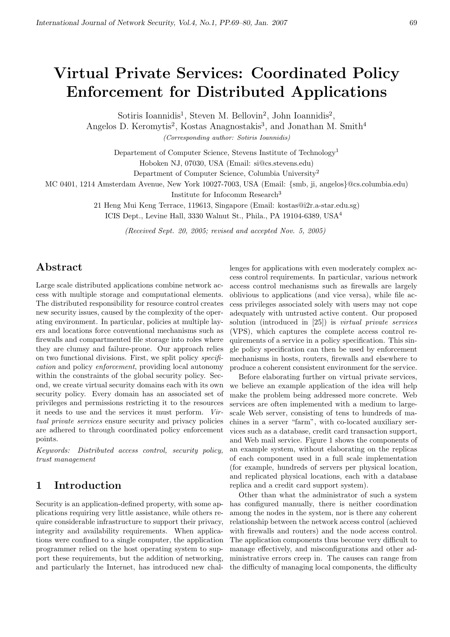# Virtual Private Services: Coordinated Policy Enforcement for Distributed Applications

Sotiris Ioannidis<sup>1</sup>, Steven M. Bellovin<sup>2</sup>, John Ioannidis<sup>2</sup>,

Angelos D. Keromytis<sup>2</sup>, Kostas Anagnostakis<sup>3</sup>, and Jonathan M. Smith<sup>4</sup>

(Corresponding author: Sotiris Ioannidis)

Departement of Computer Science, Stevens Institute of Technology<sup>1</sup>

Hoboken NJ, 07030, USA (Email: si@cs.stevens.edu)

Department of Computer Science, Columbia University<sup>2</sup>

MC 0401, 1214 Amsterdam Avenue, New York 10027-7003, USA (Email: {smb, ji, angelos}@cs.columbia.edu)

Institute for Infocomm Research<sup>3</sup>

21 Heng Mui Keng Terrace, 119613, Singapore (Email: kostas@i2r.a-star.edu.sg)

ICIS Dept., Levine Hall, 3330 Walnut St., Phila., PA 19104-6389, USA<sup>4</sup>

(Received Sept. 20, 2005; revised and accepted Nov. 5, 2005)

## Abstract

Large scale distributed applications combine network access with multiple storage and computational elements. The distributed responsibility for resource control creates new security issues, caused by the complexity of the operating environment. In particular, policies at multiple layers and locations force conventional mechanisms such as firewalls and compartmented file storage into roles where they are clumsy and failure-prone. Our approach relies on two functional divisions. First, we split policy specification and policy enforcement, providing local autonomy within the constraints of the global security policy. Second, we create virtual security domains each with its own security policy. Every domain has an associated set of privileges and permissions restricting it to the resources it needs to use and the services it must perform. Virtual private services ensure security and privacy policies are adhered to through coordinated policy enforcement points.

Keywords: Distributed access control, security policy, trust management

# 1 Introduction

Security is an application-defined property, with some applications requiring very little assistance, while others require considerable infrastructure to support their privacy, integrity and availability requirements. When applications were confined to a single computer, the application programmer relied on the host operating system to support these requirements, but the addition of networking, and particularly the Internet, has introduced new chal-

lenges for applications with even moderately complex access control requirements. In particular, various network access control mechanisms such as firewalls are largely oblivious to applications (and vice versa), while file access privileges associated solely with users may not cope adequately with untrusted active content. Our proposed solution (introduced in [25]) is virtual private services (VPS), which captures the complete access control requirements of a service in a policy specification. This single policy specification can then be used by enforcement mechanisms in hosts, routers, firewalls and elsewhere to produce a coherent consistent environment for the service.

Before elaborating further on virtual private services, we believe an example application of the idea will help make the problem being addressed more concrete. Web services are often implemented with a medium to largescale Web server, consisting of tens to hundreds of machines in a server "farm", with co-located auxiliary services such as a database, credit card transaction support, and Web mail service. Figure 1 shows the components of an example system, without elaborating on the replicas of each component used in a full scale implementation (for example, hundreds of servers per physical location, and replicated physical locations, each with a database replica and a credit card support system).

Other than what the administrator of such a system has configured manually, there is neither coordination among the nodes in the system, nor is there any coherent relationship between the network access control (achieved with firewalls and routers) and the node access control. The application components thus become very difficult to manage effectively, and misconfigurations and other administrative errors creep in. The causes can range from the difficulty of managing local components, the difficulty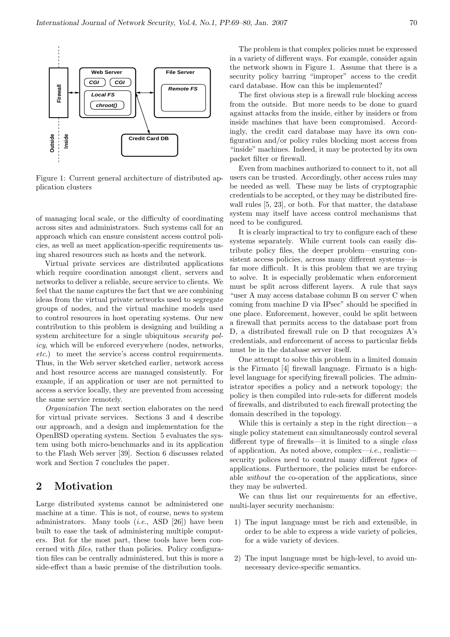

Figure 1: Current general architecture of distributed application clusters

of managing local scale, or the difficulty of coordinating across sites and administrators. Such systems call for an approach which can ensure consistent access control policies, as well as meet application-specific requirements using shared resources such as hosts and the network.

Virtual private services are distributed applications which require coordination amongst client, servers and networks to deliver a reliable, secure service to clients. We feel that the name captures the fact that we are combining ideas from the virtual private networks used to segregate groups of nodes, and the virtual machine models used to control resources in host operating systems. Our new contribution to this problem is designing and building a system architecture for a single ubiquitous *security pol*icy, which will be enforced everywhere (nodes, networks, etc.) to meet the service's access control requirements. Thus, in the Web server sketched earlier, network access and host resource access are managed consistently. For example, if an application or user are not permitted to access a service locally, they are prevented from accessing the same service remotely.

Organization The next section elaborates on the need for virtual private services. Sections 3 and 4 describe our approach, and a design and implementation for the OpenBSD operating system. Section 5 evaluates the system using both micro-benchmarks and in its application to the Flash Web server [39]. Section 6 discusses related work and Section 7 concludes the paper.

## 2 Motivation

Large distributed systems cannot be administered one machine at a time. This is not, of course, news to system administrators. Many tools  $(i.e.,$  ASD  $[26])$  have been built to ease the task of administering multiple computers. But for the most part, these tools have been concerned with files, rather than policies. Policy configuration files can be centrally administered, but this is more a side-effect than a basic premise of the distribution tools.

The problem is that complex policies must be expressed in a variety of different ways. For example, consider again the network shown in Figure 1. Assume that there is a security policy barring "improper" access to the credit card database. How can this be implemented?

The first obvious step is a firewall rule blocking access from the outside. But more needs to be done to guard against attacks from the inside, either by insiders or from inside machines that have been compromised. Accordingly, the credit card database may have its own configuration and/or policy rules blocking most access from "inside" machines. Indeed, it may be protected by its own packet filter or firewall.

Even from machines authorized to connect to it, not all users can be trusted. Accordingly, other access rules may be needed as well. These may be lists of cryptographic credentials to be accepted, or they may be distributed firewall rules [5, 23], or both. For that matter, the database system may itself have access control mechanisms that need to be configured.

It is clearly impractical to try to configure each of these systems separately. While current tools can easily distribute policy files, the deeper problem—ensuring consistent access policies, across many different systems—is far more difficult. It is this problem that we are trying to solve. It is especially problematic when enforcement must be split across different layers. A rule that says "user A may access database column B on server C when coming from machine D via IPsec" should be specified in one place. Enforcement, however, could be split between a firewall that permits access to the database port from D, a distributed firewall rule on D that recognizes A's credentials, and enforcement of access to particular fields must be in the database server itself.

One attempt to solve this problem in a limited domain is the Firmato [4] firewall language. Firmato is a highlevel language for specifying firewall policies. The administrator specifies a policy and a network topology; the policy is then compiled into rule-sets for different models of firewalls, and distributed to each firewall protecting the domain described in the topology.

While this is certainly a step in the right direction—a single policy statement can simultaneously control several different type of firewalls—it is limited to a single class of application. As noted above, complex—i.e., realisticsecurity polices need to control many different types of applications. Furthermore, the policies must be enforceable without the co-operation of the applications, since they may be subverted.

We can thus list our requirements for an effective, multi-layer security mechanism:

- 1) The input language must be rich and extensible, in order to be able to express a wide variety of policies, for a wide variety of devices.
- 2) The input language must be high-level, to avoid unnecessary device-specific semantics.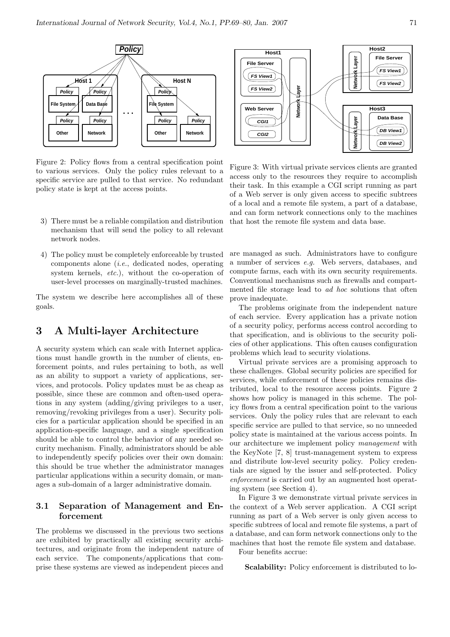

Figure 2: Policy flows from a central specification point to various services. Only the policy rules relevant to a specific service are pulled to that service. No redundant policy state is kept at the access points.

- 3) There must be a reliable compilation and distribution mechanism that will send the policy to all relevant network nodes.
- 4) The policy must be completely enforceable by trusted components alone (i.e., dedicated nodes, operating system kernels, *etc.*), without the co-operation of user-level processes on marginally-trusted machines.

The system we describe here accomplishes all of these goals.

## 3 A Multi-layer Architecture

A security system which can scale with Internet applications must handle growth in the number of clients, enforcement points, and rules pertaining to both, as well as an ability to support a variety of applications, services, and protocols. Policy updates must be as cheap as possible, since these are common and often-used operations in any system (adding/giving privileges to a user, removing/revoking privileges from a user). Security policies for a particular application should be specified in an application-specific language, and a single specification should be able to control the behavior of any needed security mechanism. Finally, administrators should be able to independently specify policies over their own domain: this should be true whether the administrator manages particular applications within a security domain, or manages a sub-domain of a larger administrative domain.

### 3.1 Separation of Management and Enforcement

The problems we discussed in the previous two sections are exhibited by practically all existing security architectures, and originate from the independent nature of each service. The components/applications that comprise these systems are viewed as independent pieces and



Figure 3: With virtual private services clients are granted access only to the resources they require to accomplish their task. In this example a CGI script running as part of a Web server is only given access to specific subtrees of a local and a remote file system, a part of a database, and can form network connections only to the machines that host the remote file system and data base.

are managed as such. Administrators have to configure a number of services e.g. Web servers, databases, and compute farms, each with its own security requirements. Conventional mechanisms such as firewalls and compartmented file storage lead to ad hoc solutions that often prove inadequate.

The problems originate from the independent nature of each service. Every application has a private notion of a security policy, performs access control according to that specification, and is oblivious to the security policies of other applications. This often causes configuration problems which lead to security violations.

Virtual private services are a promising approach to these challenges. Global security policies are specified for services, while enforcement of these policies remains distributed, local to the resource access points. Figure 2 shows how policy is managed in this scheme. The policy flows from a central specification point to the various services. Only the policy rules that are relevant to each specific service are pulled to that service, so no unneeded policy state is maintained at the various access points. In our architecture we implement policy management with the KeyNote [7, 8] trust-management system to express and distribute low-level security policy. Policy credentials are signed by the issuer and self-protected. Policy enforcement is carried out by an augmented host operating system (see Section 4).

In Figure 3 we demonstrate virtual private services in the context of a Web server application. A CGI script running as part of a Web server is only given access to specific subtrees of local and remote file systems, a part of a database, and can form network connections only to the machines that host the remote file system and database.

Four benefits accrue:

Scalability: Policy enforcement is distributed to lo-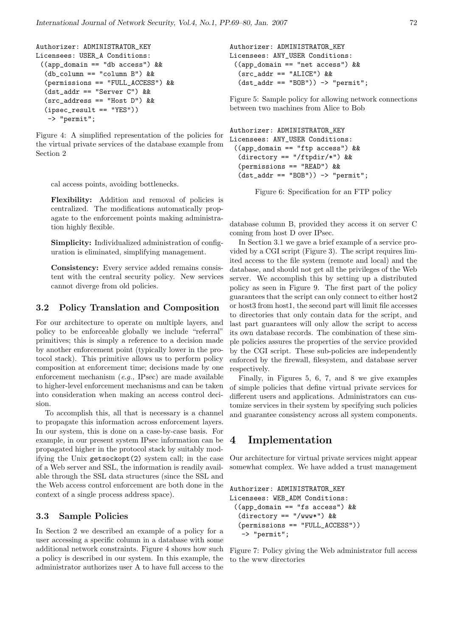```
Authorizer: ADMINISTRATOR_KEY
Licensees: USER_A Conditions:
 ((app_domain == "db access") &&
  (db_column == "column B") &&
  (permissions == "FULL_ACCESS") &&
  (dst_addr == "Server C") &&
  (src_address == "Host D") &&
  (ipsec_result == "YES"))
   -> "permit";
```
Figure 4: A simplified representation of the policies for the virtual private services of the database example from Section 2

cal access points, avoiding bottlenecks.

Flexibility: Addition and removal of policies is centralized. The modifications automatically propagate to the enforcement points making administration highly flexible.

Simplicity: Individualized administration of configuration is eliminated, simplifying management.

Consistency: Every service added remains consistent with the central security policy. New services cannot diverge from old policies.

#### 3.2 Policy Translation and Composition

For our architecture to operate on multiple layers, and policy to be enforceable globally we include "referral" primitives; this is simply a reference to a decision made by another enforcement point (typically lower in the protocol stack). This primitive allows us to perform policy composition at enforcement time; decisions made by one enforcement mechanism (e.g., IPsec) are made available to higher-level enforcement mechanisms and can be taken into consideration when making an access control decision.

To accomplish this, all that is necessary is a channel to propagate this information across enforcement layers. In our system, this is done on a case-by-case basis. For example, in our present system IPsec information can be propagated higher in the protocol stack by suitably modifying the Unix getsockopt(2) system call; in the case of a Web server and SSL, the information is readily available through the SSL data structures (since the SSL and the Web access control enforcement are both done in the context of a single process address space).

#### 3.3 Sample Policies

In Section 2 we described an example of a policy for a user accessing a specific column in a database with some additional network constraints. Figure 4 shows how such a policy is described in our system. In this example, the administrator authorizes user A to have full access to the

Authorizer: ADMINISTRATOR\_KEY Licensees: ANY\_USER Conditions: ((app\_domain == "net access") &&  $(src\_addr == "ALICE")$  &&  $(dst\_addr == "BOB")) \rightarrow "permit";$ 

Figure 5: Sample policy for allowing network connections between two machines from Alice to Bob

```
Authorizer: ADMINISTRATOR_KEY
Licensees: ANY_USER Conditions:
 ((app_domain == "ftp access") &&
  \text{(directory == "/ftpdir/*") &\&&\& }(permissions == "READ") &&
  (dst\_addr == "BOB")) \rightarrow "permit";
```
Figure 6: Specification for an FTP policy

database column B, provided they access it on server C coming from host D over IPsec.

In Section 3.1 we gave a brief example of a service provided by a CGI script (Figure 3). The script requires limited access to the file system (remote and local) and the database, and should not get all the privileges of the Web server. We accomplish this by setting up a distributed policy as seen in Figure 9. The first part of the policy guarantees that the script can only connect to either host2 or host3 from host1, the second part will limit file accesses to directories that only contain data for the script, and last part guarantees will only allow the script to access its own database records. The combination of these simple policies assures the properties of the service provided by the CGI script. These sub-policies are independently enforced by the firewall, filesystem, and database server respectively.

Finally, in Figures 5, 6, 7, and 8 we give examples of simple policies that define virtual private services for different users and applications. Administrators can customize services in their system by specifying such policies and guarantee consistency across all system components.

## 4 Implementation

Our architecture for virtual private services might appear somewhat complex. We have added a trust management

```
Authorizer: ADMINISTRATOR_KEY
Licensees: WEB_ADM Conditions:
 ((app_domain == "fs access") &&
  (directory == "/www...") &(permissions == "FULL_ACCESS"))
   -> "permit";
```
Figure 7: Policy giving the Web administrator full access to the www directories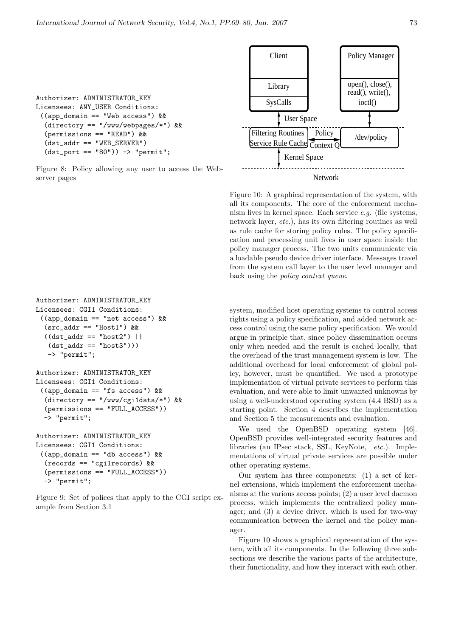```
Authorizer: ADMINISTRATOR_KEY
Licensees: ANY_USER Conditions:
 ((app_domain == "Web access") &&
  (directory == "/www/webpages/*") &&
  (permissions == "READ") &&
  (dst_addr == "WEB_SERVER")
  (dst\_port == "80")) \rightarrow "permit";
```
Figure 8: Policy allowing any user to access the Webserver pages

```
Authorizer: ADMINISTRATOR_KEY
Licensees: CGI1 Conditions:
 ((app_domain == "net access") &&
  (src\_addr == "Host1") &&
  ((dst\_addr == "host2") ||)(dst addr == "host3"))-> "permit";
Authorizer: ADMINISTRATOR_KEY
```

```
Licensees: CGI1 Conditions:
 ((app_domain == "fs access") &&
  (directory == "/www/cgi1data/*") &&
  (permissions == "FULL_ACCESS"))
  -> "permit";
```

```
Authorizer: ADMINISTRATOR_KEY
Licensees: CGI1 Conditions:
 ((app\_domain == "db access") &&
  (records == "cgi1records) &&
  (permissions == "FULL_ACCESS"))
  -> "permit";
```
Figure 9: Set of polices that apply to the CGI script example from Section 3.1



Figure 10: A graphical representation of the system, with all its components. The core of the enforcement mechanism lives in kernel space. Each service e.g. (file systems, network layer, etc.), has its own filtering routines as well as rule cache for storing policy rules. The policy specification and processing unit lives in user space inside the policy manager process. The two units communicate via a loadable pseudo device driver interface. Messages travel from the system call layer to the user level manager and back using the policy context queue.

system, modified host operating systems to control access rights using a policy specification, and added network access control using the same policy specification. We would argue in principle that, since policy dissemination occurs only when needed and the result is cached locally, that the overhead of the trust management system is low. The additional overhead for local enforcement of global policy, however, must be quantified. We used a prototype implementation of virtual private services to perform this evaluation, and were able to limit unwanted unknowns by using a well-understood operating system (4.4 BSD) as a starting point. Section 4 describes the implementation and Section 5 the measurements and evaluation.

We used the OpenBSD operating system [46]. OpenBSD provides well-integrated security features and libraries (an IPsec stack, SSL, KeyNote, etc.). Implementations of virtual private services are possible under other operating systems.

Our system has three components: (1) a set of kernel extensions, which implement the enforcement mechanisms at the various access points; (2) a user level daemon process, which implements the centralized policy manager; and (3) a device driver, which is used for two-way communication between the kernel and the policy manager.

Figure 10 shows a graphical representation of the system, with all its components. In the following three subsections we describe the various parts of the architecture, their functionality, and how they interact with each other.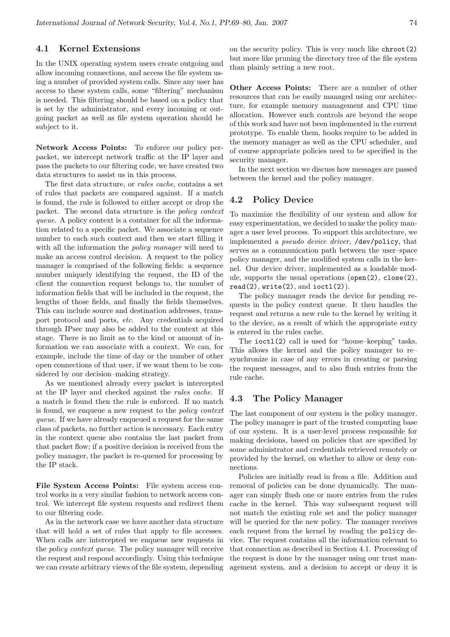#### 4.1 Kernel Extensions

In the UNIX operating system users create outgoing and allow incoming connections, and access the file system using a number of provided system calls. Since any user has access to these system calls, some "filtering" mechanism is needed. This filtering should be based on a policy that is set by the administrator, and every incoming or outgoing packet as well as file system operation should be subject to it.

Network Access Points: To enforce our policy perpacket, we intercept network traffic at the IP layer and pass the packets to our filtering code, we have created two data structures to assist us in this process.

The first data structure, or rules cache, contains a set of rules that packets are compared against. If a match is found, the rule is followed to either accept or drop the packet. The second data structure is the policy context queue. A policy context is a container for all the information related to a specific packet. We associate a sequence number to each such context and then we start filling it with all the information the *policy manager* will need to make an access control decision. A request to the policy manager is comprised of the following fields: a sequence number uniquely identifying the request, the ID of the client the connection request belongs to, the number of information fields that will be included in the request, the lengths of those fields, and finally the fields themselves. This can include source and destination addresses, transport protocol and ports, etc. Any credentials acquired through IPsec may also be added to the context at this stage. There is no limit as to the kind or amount of information we can associate with a context. We can, for example, include the time of day or the number of other open connections of that user, if we want them to be considered by our decision–making strategy.

As we mentioned already every packet is intercepted at the IP layer and checked against the rules cache. If a match is found then the rule is enforced. If no match is found, we enqueue a new request to the policy context queue. If we have already enqueued a request for the same class of packets, no further action is necessary. Each entry in the context queue also contains the last packet from that packet flow; if a positive decision is received from the policy manager, the packet is re-queued for processing by the IP stack.

File System Access Points: File system access control works in a very similar fashion to network access control. We intercept file system requests and redirect them to our filtering code.

As in the network case we have another data structure that will hold a set of rules that apply to file accesses. When calls are intercepted we enqueue new requests in the policy context queue. The policy manager will receive the request and respond accordingly. Using this technique we can create arbitrary views of the file system, depending on the security policy. This is very much like chroot(2) but more like pruning the directory tree of the file system than plainly setting a new root.

Other Access Points: There are a number of other resources that can be easily managed using our architecture, for example memory management and CPU time allocation. However such controls are beyond the scope of this work and have not been implemented in the current prototype. To enable them, hooks require to be added in the memory manager as well as the CPU scheduler, and of course appropriate policies need to be specified in the security manager.

In the next section we discuss how messages are passed between the kernel and the policy manager.

#### 4.2 Policy Device

To maximize the flexibility of our system and allow for easy experimentation, we decided to make the policy manager a user level process. To support this architecture, we implemented a pseudo device driver, /dev/policy, that serves as a communication path between the user–space policy manager, and the modified system calls in the kernel. Our device driver, implemented as a loadable module, supports the usual operations (open(2), close(2),  $read(2)$ ,  $write(2)$ , and  $ivot1(2)$ .

The policy manager reads the device for pending requests in the policy context queue. It then handles the request and returns a new rule to the kernel by writing it to the device, as a result of which the appropriate entry is entered in the rules cache.

The ioctl(2) call is used for "house–keeping" tasks. This allows the kernel and the policy manager to re– synchronize in case of any errors in creating or parsing the request messages, and to also flush entries from the rule cache.

#### 4.3 The Policy Manager

The last component of our system is the policy manager. The policy manager is part of the trusted computing base of our system. It is a user-level process responsible for making decisions, based on policies that are specified by some administrator and credentials retrieved remotely or provided by the kernel, on whether to allow or deny connections.

Policies are initially read in from a file. Addition and removal of policies can be done dynamically. The manager can simply flush one or more entries from the rules cache in the kernel. This way subsequent request will not match the existing rule set and the policy manager will be queried for the new policy. The manager receives each request from the kernel by reading the policy device. The request contains all the information relevant to that connection as described in Section 4.1. Processing of the request is done by the manager using our trust management system, and a decision to accept or deny it is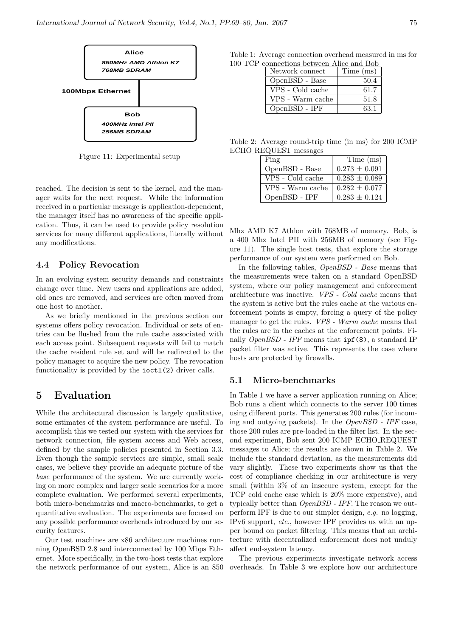

Figure 11: Experimental setup

reached. The decision is sent to the kernel, and the manager waits for the next request. While the information received in a particular message is application-dependent, the manager itself has no awareness of the specific application. Thus, it can be used to provide policy resolution services for many different applications, literally without any modifications.

#### 4.4 Policy Revocation

In an evolving system security demands and constraints change over time. New users and applications are added, old ones are removed, and services are often moved from one host to another.

As we briefly mentioned in the previous section our systems offers policy revocation. Individual or sets of entries can be flushed from the rule cache associated with each access point. Subsequent requests will fail to match the cache resident rule set and will be redirected to the policy manager to acquire the new policy. The revocation functionality is provided by the  $i$ **octl** $(2)$  driver calls.

## 5 Evaluation

While the architectural discussion is largely qualitative, some estimates of the system performance are useful. To accomplish this we tested our system with the services for network connection, file system access and Web access, defined by the sample policies presented in Section 3.3. Even though the sample services are simple, small scale cases, we believe they provide an adequate picture of the base performance of the system. We are currently working on more complex and larger scale scenarios for a more complete evaluation. We performed several experiments, both micro-benchmarks and macro-benchmarks, to get a quantitative evaluation. The experiments are focused on any possible performance overheads introduced by our security features.

Our test machines are x86 architecture machines running OpenBSD 2.8 and interconnected by 100 Mbps Ethernet. More specifically, in the two-host tests that explore the network performance of our system, Alice is an 850

Table 1: Average connection overhead measured in ms for 100 TCP connections between Alice and Bob

| Network connect  | Time (ms) |
|------------------|-----------|
| OpenBSD - Base   | 50.4      |
| VPS - Cold cache | 61.7      |
| VPS - Warm cache | 51.8      |
| OpenBSD - IPF    | 63-1      |

Table 2: Average round-trip time (in ms) for 200 ICMP ECHO REQUEST messages

| Ping             | Time (ms)         |
|------------------|-------------------|
| OpenBSD - Base   | $0.273 \pm 0.091$ |
| VPS - Cold cache | $0.283 \pm 0.089$ |
| VPS - Warm cache | $0.282 \pm 0.077$ |
| OpenBSD - IPF    | $0.283 + 0.124$   |

Mhz AMD K7 Athlon with 768MB of memory. Bob, is a 400 Mhz Intel PII with 256MB of memory (see Figure 11). The single host tests, that explore the storage performance of our system were performed on Bob.

In the following tables, OpenBSD - Base means that the measurements were taken on a standard OpenBSD system, where our policy management and enforcement architecture was inactive. VPS - Cold cache means that the system is active but the rules cache at the various enforcement points is empty, forcing a query of the policy manager to get the rules. VPS - Warm cache means that the rules are in the caches at the enforcement points. Finally OpenBSD - IPF means that ipf(8), a standard IP packet filter was active. This represents the case where hosts are protected by firewalls.

#### 5.1 Micro-benchmarks

In Table 1 we have a server application running on Alice; Bob runs a client which connects to the server 100 times using different ports. This generates 200 rules (for incoming and outgoing packets). In the OpenBSD - IPF case, those 200 rules are pre-loaded in the filter list. In the second experiment, Bob sent 200 ICMP ECHO REQUEST messages to Alice; the results are shown in Table 2. We include the standard deviation, as the measurements did vary slightly. These two experiments show us that the cost of compliance checking in our architecture is very small (within 3% of an insecure system, except for the TCP cold cache case which is 20% more expensive), and typically better than OpenBSD - IPF. The reason we outperform IPF is due to our simpler design, e.g. no logging, IPv6 support, etc., however IPF provides us with an upper bound on packet filtering. This means that an architecture with decentralized enforcement does not unduly affect end-system latency.

The previous experiments investigate network access overheads. In Table 3 we explore how our architecture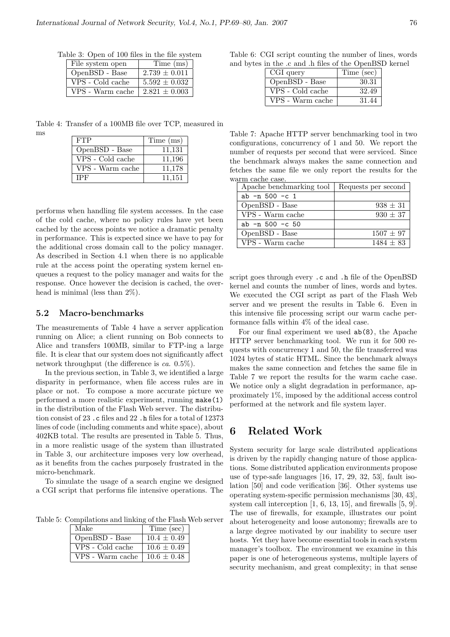| Table 3: Open of 100 files in the file system |  |  |  |  |  |  |  |  |
|-----------------------------------------------|--|--|--|--|--|--|--|--|
|-----------------------------------------------|--|--|--|--|--|--|--|--|

| File system open | Time (ms)         |
|------------------|-------------------|
| OpenBSD - Base   | $2.739 \pm 0.011$ |
| VPS - Cold cache | $5.592 \pm 0.032$ |
| VPS - Warm cache | $2.821 \pm 0.003$ |

Table 4: Transfer of a 100MB file over TCP, measured in ms

| <b>FTP</b>       | Time (ms) |
|------------------|-----------|
| OpenBSD - Base   | 11,131    |
| VPS - Cold cache | 11,196    |
| VPS - Warm cache | 11,178    |
| <b>IPF</b>       | 11.151    |

performs when handling file system accesses. In the case of the cold cache, where no policy rules have yet been cached by the access points we notice a dramatic penalty in performance. This is expected since we have to pay for the additional cross domain call to the policy manager. As described in Section 4.1 when there is no applicable rule at the access point the operating system kernel enqueues a request to the policy manager and waits for the response. Once however the decision is cached, the overhead is minimal (less than 2%).

#### 5.2 Macro-benchmarks

The measurements of Table 4 have a server application running on Alice; a client running on Bob connects to Alice and transfers 100MB, similar to FTP-ing a large file. It is clear that our system does not significantly affect network throughput (the difference is ca. 0.5%).

In the previous section, in Table 3, we identified a large disparity in performance, when file access rules are in place or not. To compose a more accurate picture we performed a more realistic experiment, running make(1) in the distribution of the Flash Web server. The distribution consist of 23 .c files and 22 .h files for a total of 12373 lines of code (including comments and white space), about 402KB total. The results are presented in Table 5. Thus, in a more realistic usage of the system than illustrated in Table 3, our architecture imposes very low overhead, as it benefits from the caches purposely frustrated in the micro-benchmark.

To simulate the usage of a search engine we designed a CGI script that performs file intensive operations. The

Table 5: Compilations and linking of the Flash Web server

| Make             | Time (sec)      |
|------------------|-----------------|
| OpenBSD - Base   | $10.4 \pm 0.49$ |
| VPS - Cold cache | $10.6 \pm 0.49$ |
| VPS - Warm cache | $10.6 \pm 0.48$ |

Table 6: CGI script counting the number of lines, words and bytes in the .c and .h files of the OpenBSD kernel

| CGI query        | Time (sec) |
|------------------|------------|
| OpenBSD - Base   | 30.31      |
| VPS - Cold cache | 32.49      |
| VPS - Warm cache | 31.44      |

Table 7: Apache HTTP server benchmarking tool in two configurations, concurrency of 1 and 50. We report the number of requests per second that were serviced. Since the benchmark always makes the same connection and fetches the same file we only report the results for the warm cache case.

| Apache benchmarking tool | Requests per second |
|--------------------------|---------------------|
| ab $-n$ 500 $-c$ 1       |                     |
| OpenBSD - Base           | $938 \pm 31$        |
| VPS - Warm cache         | $930 \pm 37$        |
| $ab - n 500 - c 50$      |                     |
| OpenBSD - Base           | $1507 \pm 97$       |
| VPS - Warm cache         | $1484 + 83$         |

script goes through every .c and .h file of the OpenBSD kernel and counts the number of lines, words and bytes. We executed the CGI script as part of the Flash Web server and we present the results in Table 6. Even in this intensive file processing script our warm cache performance falls within 4% of the ideal case.

For our final experiment we used ab(8), the Apache HTTP server benchmarking tool. We run it for 500 requests with concurrency 1 and 50, the file transferred was 1024 bytes of static HTML. Since the benchmark always makes the same connection and fetches the same file in Table 7 we report the results for the warm cache case. We notice only a slight degradation in performance, approximately 1%, imposed by the additional access control performed at the network and file system layer.

## 6 Related Work

System security for large scale distributed applications is driven by the rapidly changing nature of those applications. Some distributed application environments propose use of type-safe languages [16, 17, 29, 32, 53], fault isolation [50] and code verification [36]. Other systems use operating system-specific permission mechanisms [30, 43], system call interception [1, 6, 13, 15], and firewalls [5, 9]. The use of firewalls, for example, illustrates our point about heterogeneity and loose autonomy; firewalls are to a large degree motivated by our inability to secure user hosts. Yet they have become essential tools in each system manager's toolbox. The environment we examine in this paper is one of heterogeneous systems, multiple layers of security mechanism, and great complexity; in that sense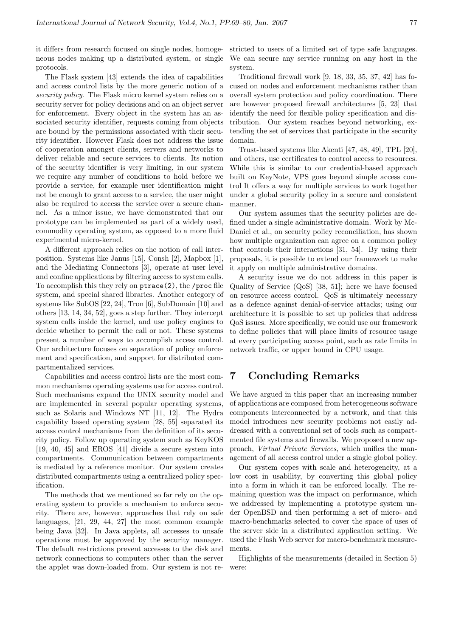neous nodes making up a distributed system, or single protocols.

The Flask system [43] extends the idea of capabilities and access control lists by the more generic notion of a security policy. The Flask micro kernel system relies on a security server for policy decisions and on an object server for enforcement. Every object in the system has an associated security identifier, requests coming from objects are bound by the permissions associated with their security identifier. However Flask does not address the issue of cooperation amongst clients, servers and networks to deliver reliable and secure services to clients. Its notion of the security identifier is very limiting, in our system we require any number of conditions to hold before we provide a service, for example user identification might not be enough to grant access to a service, the user might also be required to access the service over a secure channel. As a minor issue, we have demonstrated that our prototype can be implemented as part of a widely used, commodity operating system, as opposed to a more fluid experimental micro-kernel.

A different approach relies on the notion of call interposition. Systems like Janus [15], Consh [2], Mapbox [1], and the Mediating Connectors [3], operate at user level and confine applications by filtering access to system calls. To accomplish this they rely on ptrace(2), the /proc file system, and special shared libraries. Another category of systems like SubOS [22, 24], Tron [6], SubDomain [10] and others [13, 14, 34, 52], goes a step further. They intercept system calls inside the kernel, and use policy engines to decide whether to permit the call or not. These systems present a number of ways to accomplish access control. Our architecture focuses on separation of policy enforcement and specification, and support for distributed compartmentalized services.

Capabilities and access control lists are the most common mechanisms operating systems use for access control. Such mechanisms expand the UNIX security model and are implemented in several popular operating systems, such as Solaris and Windows NT [11, 12]. The Hydra capability based operating system [28, 55] separated its access control mechanisms from the definition of its security policy. Follow up operating system such as KeyKOS [19, 40, 45] and EROS [41] divide a secure system into compartments. Communication between compartments is mediated by a reference monitor. Our system creates distributed compartments using a centralized policy specification.

The methods that we mentioned so far rely on the operating system to provide a mechanism to enforce security. There are, however, approaches that rely on safe languages, [21, 29, 44, 27] the most common example being Java [32]. In Java applets, all accesses to unsafe operations must be approved by the security manager. The default restrictions prevent accesses to the disk and network connections to computers other than the server the applet was down-loaded from. Our system is not re-

it differs from research focused on single nodes, homoge-stricted to users of a limited set of type safe languages. We can secure any service running on any host in the system.

> Traditional firewall work [9, 18, 33, 35, 37, 42] has focused on nodes and enforcement mechanisms rather than overall system protection and policy coordination. There are however proposed firewall architectures [5, 23] that identify the need for flexible policy specification and distribution. Our system reaches beyond networking, extending the set of services that participate in the security domain.

> Trust-based systems like Akenti [47, 48, 49], TPL [20], and others, use certificates to control access to resources. While this is similar to our credential-based approach built on KeyNote, VPS goes beyond simple access control It offers a way for multiple services to work together under a global security policy in a secure and consistent manner.

> Our system assumes that the security policies are defined under a single administrative domain. Work by Mc-Daniel et al., on security policy reconciliation, has shown how multiple organization can agree on a common policy that controls their interactions [31, 54]. By using their proposals, it is possible to extend our framework to make it apply on multiple administrative domains.

> A security issue we do not address in this paper is Quality of Service (QoS) [38, 51]; here we have focused on resource access control. QoS is ultimately necessary as a defence against denial-of-service attacks; using our architecture it is possible to set up policies that address QoS issues. More specifically, we could use our framework to define policies that will place limits of resource usage at every participating access point, such as rate limits in network traffic, or upper bound in CPU usage.

## 7 Concluding Remarks

We have argued in this paper that an increasing number of applications are composed from heterogeneous software components interconnected by a network, and that this model introduces new security problems not easily addressed with a conventional set of tools such as compartmented file systems and firewalls. We proposed a new approach, Virtual Private Services, which unifies the management of all access control under a single global policy.

Our system copes with scale and heterogeneity, at a low cost in usability, by converting this global policy into a form in which it can be enforced locally. The remaining question was the impact on performance, which we addressed by implementing a prototype system under OpenBSD and then performing a set of micro- and macro-benchmarks selected to cover the space of uses of the server side in a distributed application setting. We used the Flash Web server for macro-benchmark measurements.

Highlights of the measurements (detailed in Section 5) were: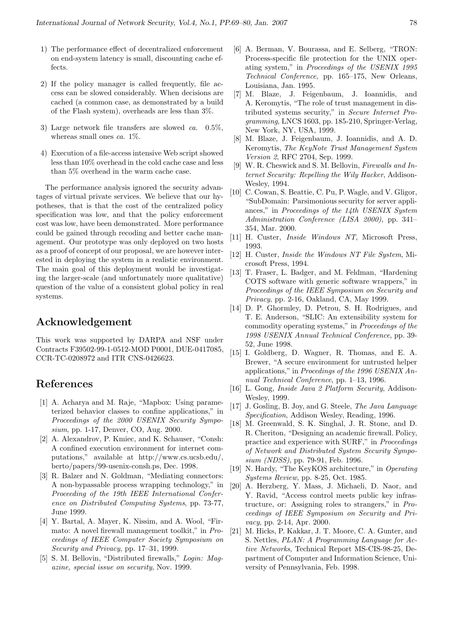- 1) The performance effect of decentralized enforcement on end-system latency is small, discounting cache effects.
- 2) If the policy manager is called frequently, file access can be slowed considerably. When decisions are cached (a common case, as demonstrated by a build of the Flash system), overheads are less than 3%.
- 3) Large network file transfers are slowed ca. 0.5%, whereas small ones  $ca. 1\%$ .
- 4) Execution of a file-access intensive Web script showed less than 10% overhead in the cold cache case and less than 5% overhead in the warm cache case.

The performance analysis ignored the security advantages of virtual private services. We believe that our hypotheses, that is that the cost of the centralized policy specification was low, and that the policy enforcement cost was low, have been demonstrated. More performance could be gained through recoding and better cache management. Our prototype was only deployed on two hosts as a proof of concept of our proposal, we are however interested in deploying the system in a realistic environment. The main goal of this deployment would be investigating the larger-scale (and unfortunately more qualitative) question of the value of a consistent global policy in real systems.

## Acknowledgement

This work was supported by DARPA and NSF under Contracts F39502-99-1-0512-MOD P0001, DUE-0417085, CCR-TC-0208972 and ITR CNS-0426623.

# References

- [1] A. Acharya and M. Raje, "Mapbox: Using parameterized behavior classes to confine applications," in Proceedings of the 2000 USENIX Security Symposium, pp. 1-17, Denver, CO, Aug. 2000.
- [2] A. Alexandrov, P. Kmiec, and K. Schauser, "Consh: A confined execution environment for internet computations," available at http://www.cs.ucsb.edu/, berto/papers/99-usenix-consh.ps, Dec. 1998.
- [3] R. Balzer and N. Goldman, "Mediating connectors: A non-bypassable process wrapping technology," in Proceeding of the 19th IEEE International Conference on Distributed Computing Systems, pp. 73-77, June 1999.
- [4] Y. Bartal, A. Mayer, K. Nissim, and A. Wool, "Firmato: A novel firewall management toolkit," in Proceedings of IEEE Computer Society Symposium on Security and Privacy, pp. 17–31, 1999.
- [5] S. M. Bellovin, "Distributed firewalls," Login: Magazine, special issue on security, Nov. 1999.
- [6] A. Berman, V. Bourassa, and E. Selberg, "TRON: Process-specific file protection for the UNIX operating system," in Proceedings of the USENIX 1995 Technical Conference, pp. 165–175, New Orleans, Louisiana, Jan. 1995.
- [7] M. Blaze, J. Feigenbaum, J. Ioannidis, and A. Keromytis, "The role of trust management in distributed systems security," in Secure Internet Programming, LNCS 1603, pp. 185-210, Springer-Verlag, New York, NY, USA, 1999.
- [8] M. Blaze, J. Feigenbaum, J. Ioannidis, and A. D. Keromytis, The KeyNote Trust Management System Version 2, RFC 2704, Sep. 1999.
- [9] W. R. Cheswick and S. M. Bellovin, Firewalls and Internet Security: Repelling the Wily Hacker, Addison-Wesley, 1994.
- [10] C. Cowan, S. Beattie, C. Pu, P. Wagle, and V. Gligor, "SubDomain: Parsimonious security for server appliances," in Proceedings of the 14th USENIX System Administration Conference (LISA 2000), pp. 341– 354, Mar. 2000.
- [11] H. Custer, *Inside Windows NT*, Microsoft Press, 1993.
- [12] H. Custer, *Inside the Windows NT File System*, Microsoft Press, 1994.
- [13] T. Fraser, L. Badger, and M. Feldman, "Hardening COTS software with generic software wrappers," in Proceedings of the IEEE Symposium on Security and Privacy, pp. 2-16, Oakland, CA, May 1999.
- [14] D. P. Ghormley, D. Petrou, S. H. Rodrigues, and T. E. Anderson, "SLIC: An extensibility system for commodity operating systems," in Proceedings of the 1998 USENIX Annual Technical Conference, pp. 39- 52, June 1998.
- [15] I. Goldberg, D. Wagner, R. Thomas, and E. A. Brewer, "A secure environment for untrusted helper applications," in Procedings of the 1996 USENIX Annual Technical Conference, pp. 1–13, 1996.
- [16] L. Gong, Inside Java 2 Platform Security, Addison-Wesley, 1999.
- [17] J. Gosling, B. Joy, and G. Steele, The Java Language Specification, Addison Wesley, Reading, 1996.
- [18] M. Greenwald, S. K. Singhal, J. R. Stone, and D. R. Cheriton, "Designing an academic firewall. Policy, practice and experience with SURF," in Proceedings of Network and Distributed System Security Symposium (NDSS), pp. 79-91, Feb. 1996.
- [19] N. Hardy, "The KeyKOS architecture," in Operating Systems Review, pp. 8-25, Oct. 1985.
- [20] A. Herzberg, Y. Mass, J. Michaeli, D. Naor, and Y. Ravid, "Access control meets public key infrastructure, or: Assigning roles to strangers," in Proceedings of IEEE Symposium on Security and Privacy, pp. 2-14, Apr. 2000.
- [21] M. Hicks, P. Kakkar, J. T. Moore, C. A. Gunter, and S. Nettles, PLAN: A Programming Language for Active Networks, Technical Report MS-CIS-98-25, Department of Computer and Information Science, University of Pennsylvania, Feb. 1998.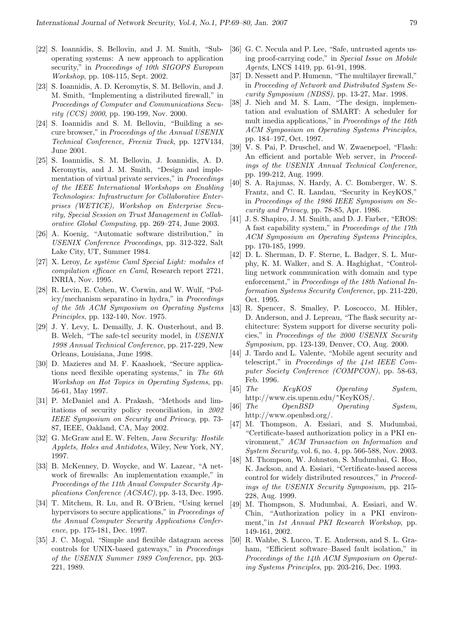- [22] S. Ioannidis, S. Bellovin, and J. M. Smith, "Suboperating systems: A new approach to application security," in Proceedings of 10th SIGOPS European Workshop, pp. 108-115, Sept. 2002.
- [23] S. Ioannidis, A. D. Keromytis, S. M. Bellovin, and J. M. Smith, "Implementing a distributed firewall," in Proceedings of Computer and Communications Security (CCS) 2000, pp. 190-199, Nov. 2000.
- [24] S. Ioannidis and S. M. Bellovin, "Building a secure browser," in Proceedings of the Annual USENIX Technical Conference, Freenix Track, pp. 127V134, June 2001.
- [25] S. Ioannidis, S. M. Bellovin, J. Ioannidis, A. D. Keromytis, and J. M. Smith, "Design and implementation of virtual private services," in Proceedings of the IEEE International Workshops on Enabling Technologies: Infrastructure for Collaborative Enterprises (WETICE), Workshop on Enterprise Security, Special Session on Trust Management in Collaborative Global Computing, pp. 269–274, June 2003.
- [26] A. Koenig, "Automatic software distribution," in USENIX Conference Proceedings, pp. 312-322, Salt Lake City, UT, Summer 1984.
- [27] X. Leroy, Le système Caml Special Light: modules et compilation efficace en Caml, Research report 2721, INRIA, Nov. 1995.
- [28] R. Levin, E. Cohen, W. Corwin, and W. Wulf, "Policy/mechanism separatino in hydra," in Proceedings of the 5th ACM Symposium on Operating Systems Principles, pp. 132-140, Nov. 1975.
- [29] J. Y. Levy, L. Demailly, J. K. Ousterhout, and B. B. Welch, "The safe-tcl security model, in USENIX 1998 Annual Technical Conference, pp. 217-229, New Orleans, Louisiana, June 1998.
- [30] D. Mazieres and M. F. Kaashoek, "Secure applications need flexible operating systems," in The 6th Workshop on Hot Topics in Operating Systems, pp. 56-61, May 1997.
- [31] P. McDaniel and A. Prakash, "Methods and limitations of security policy reconciliation, in 2002 IEEE Symposium on Security and Privacy, pp. 73- 87, IEEE, Oakland, CA, May 2002.
- [32] G. McGraw and E. W. Felten, Java Security: Hostile Applets, Holes and Antidotes, Wiley, New York, NY, 1997.
- [33] B. McKenney, D. Woycke, and W. Lazear, "A network of firewalls: An implementation example," in Proceedings of the 11th Anual Computer Security Applications Conference (ACSAC), pp. 3-13, Dec. 1995.
- [34] T. Mitchem, R. Lu, and R. O'Brien, "Using kernel hypervisors to secure applications," in *Proceedings of* the Annual Computer Security Applications Conference, pp. 175-181, Dec. 1997.
- [35] J. C. Mogul, "Simple and flexible datagram access controls for UNIX-based gateways," in Proceedings of the USENIX Summer 1989 Conference, pp. 203- 221, 1989.
- [36] G. C. Necula and P. Lee, "Safe, untrusted agents using proof-carrying code," in Special Issue on Mobile Agents, LNCS 1419, pp. 61-91, 1998.
- [37] D. Nessett and P. Humenn, "The multilayer firewall," in Proceeding of Network and Distributed System Security Symposium (NDSS), pp. 13-27, Mar. 1998.
- [38] J. Nieh and M. S. Lam, "The design, implementation and evaluation of SMART: A scheduler for mult imedia applications," in Proceedings of the 16th ACM Symposium on Operating Systems Principles, pp. 184–197, Oct. 1997.
- [39] V. S. Pai, P. Druschel, and W. Zwaenepoel, "Flash: An efficient and portable Web server, in Proceedings of the USENIX Annual Technical Conference, pp. 199-212, Aug. 1999.
- [40] S. A. Rajunas, N. Hardy, A. C. Bomberger, W. S. Frantz, and C. R. Landau, "Security in KeyKOS," in Proceedings of the 1986 IEEE Symposium on Security and Privacy, pp. 78-85, Apr. 1986.
- [41] J. S. Shapiro, J. M. Smith, and D. J. Farber, "EROS: A fast capability system," in Proceedings of the 17th ACM Symposium on Operating Systems Principles, pp. 170-185, 1999.
- [42] D. L. Sherman, D. F. Sterne, L. Badger, S. L. Murphy, K. M. Walker, and S. A. Haghighat, "Controlling network communication with domain and type enforcement," in Proceedings of the 18th National Information Systems Security Conference, pp. 211-220, Oct. 1995.
- [43] R. Spencer, S. Smalley, P. Loscocco, M. Hibler, D. Anderson, and J. Lepreau, "The flask security architecture: System support for diverse security policies," in Proceedings of the 2000 USENIX Security Symposium, pp. 123-139, Denver, CO, Aug. 2000.
- [44] J. Tardo and L. Valente, "Mobile agent security and telescript," in Proceedings of the 41st IEEE Computer Society Conference (COMPCON), pp. 58-63, Feb. 1996.
- [45] The KeyKOS Operating System, http://www.cis.upenn.edu/~KeyKOS/.
- [46] The OpenBSD Operating System, http://www.openbsd.org/.
- [47] M. Thompson, A. Essiari, and S. Mudumbai, "Certificate-based authorization policy in a PKI environment," ACM Transaction on Information and System Security, vol. 6, no. 4, pp. 566-588, Nov. 2003.
- [48] M. Thompson, W. Johnston, S. Mudumbai, G. Hoo, K. Jackson, and A. Essiari, "Certificate-based access control for widely distributed resources," in Proceedings of the USENIX Security Symposium, pp. 215- 228, Aug. 1999.
- [49] M. Thompson, S. Mudumbai, A. Essiari, and W. Chin, "Authorization policy in a PKI environment,"in 1st Annual PKI Research Workshop, pp. 149-161, 2002.
- [50] R. Wahbe, S. Lucco, T. E. Anderson, and S. L. Graham, "Efficient software–Based fault isolation," in Proceedings of the 14th ACM Symposium on Operating Systems Principles, pp. 203-216, Dec. 1993.